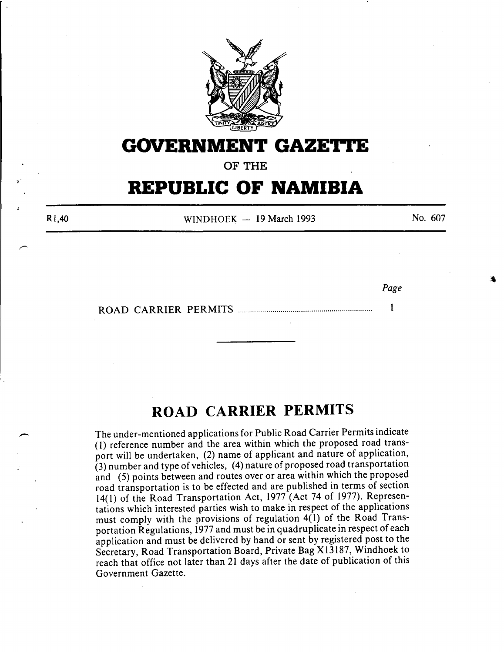

## **GOVERNMENT GAZETTE**

OF THE

## **REPUBLIC OF NAMIBIA**

Rl,40

WINDHOEK  $-$  19 March 1993

No. 607

*Page* 

ROAD CARRIER PERMITS ................................................................. .  $\mathbf{1}$ 

## **ROAD CARRIER PERMITS**

The under-mentioned applications for Public Road Carrier Permits indicate (1) reference number and the area within which the proposed road transport will be undertaken, (2) name of applicant and nature of application, (3) number and type of vehicles, (4) nature of proposed road transportation and (5) points between and routes over or area within which the proposed road transportation is to be effected and are published in terms of section 14(1) of the Road Transportation Act, 1977 (Act 74 of 1977). Representations which interested parties wish to make in respect of the applications must comply with the provisions of regulation 4(1) of the Road Transportation Regulations, 1977 and must be in quadruplicate in respect of each application and must be delivered by hand or sent by registered post to the Secretary, Road Transportation Board, Private Bag Xl3187, Windhoek to reach that office not later than 21 days after the date of publication of this Government Gazette.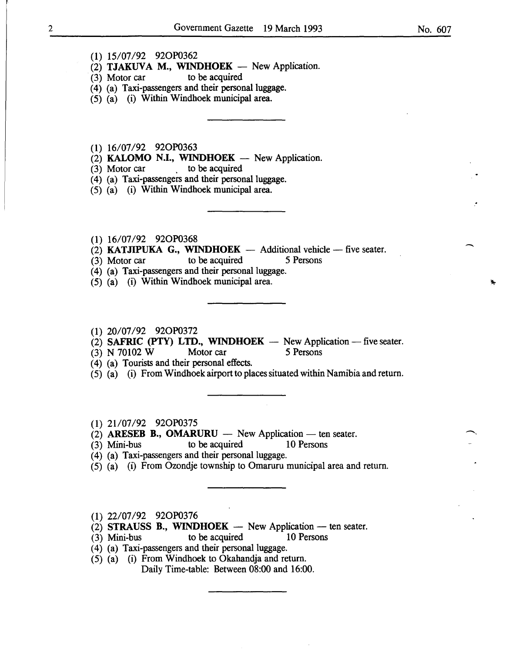- $(2)$  TJAKUVA M., WINDHOEK New Application.
- (3) Motor car to be acquired
- (4) (a) Taxi-passengers and their personal luggage.
- (5) (a) (i) Within Windhoek municipal area.
- (1) 16/07/92 92OP0363
- $(2)$  KALOMO N.I., WINDHOEK New Application.
- (3) Motor car  $\qquad \qquad$  to be acquired
- (4) (a) Taxi-passengers and their personal luggage.
- (5) (a) (i) Within Windhoek municipal area.
- (1) 16/07/92 92OP0368
- (2) **KATJIPUKA G., WINDHOEK** Additional vehicle -- five seater.<br>(3) Motor car to be acquired 5 Persons
- (3) Motor car to be acquired
- (4) (a) Taxi-passengers and their personal luggage.
- (5) (a) (i) Within Windhoek municipal area.
- (1) 20/07/92 92OP0372
- $(2)$  SAFRIC (PTY) LTD., WINDHOEK New Application five seater.
- (3) N 70102 W Motor car 5 Persons
- ( 4) (a) Tourists and their personal effects.
- (5) (a) (i) From Windhoek airport to places situated within Namibia and return.
- (1) 21/07/92 92OP0375
- $(2)$  ARESEB B., OMARURU New Application ten seater.
- (3) Mini-bus to be acquired 10 Persons
- (4) (a) Taxi-passengers and their personal luggage.
- $(5)$   $(a)$   $(i)$  From Ozondje township to Omaruru municipal area and return.
- (1) 22/07/92 92OP0376
- (2) STRAUSS B., WINDHOEK  $-$  New Application  $-$  ten seater.
- (3) Mini-bus to be acquired 10 Persons
- $(4)$  (a) Taxi-passengers and their personal luggage.
- $(5)$   $(a)$   $(i)$  From Windhoek to Okahandja and return. Daily Time-table: Between 08:00 and 16:00.

-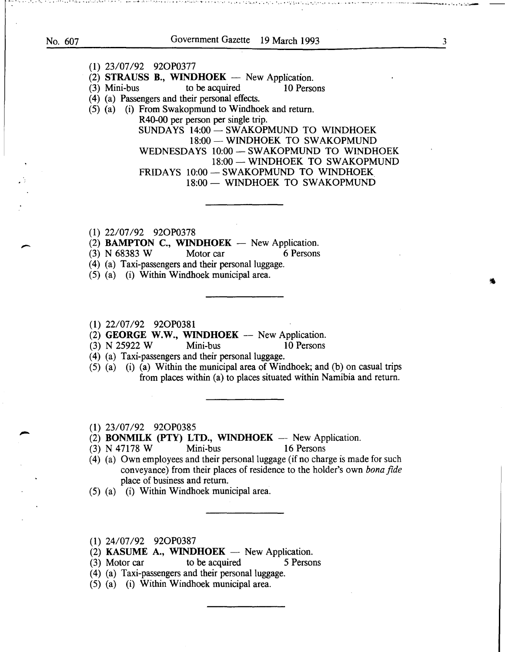• • + ••• ••• • • •••• ' ••••• :.. ••••• -. • ••••• ·' • • • ·~- ., .... ":: • • ....... . ······· .......... · .............. · .. ··.:·· ... ·. ··-.· ·-··· ..... -----·.--- -- ---·--·----.... .. : .. ·.~.-::..-- -

## (1) 23/07/92 920P0377 (2) STRAUSS B., WINDHOEK - New Application.<br>(3) Mini-bus to be acquired 10 Person to be acquired 10 Persons ( 4) (a) Passengers and their personal effects. (5) (a) (i) From Swakopmund to Windhoek and return. R40-00 per person per single trip. SUNDAYS 14:00 - SWAKOPMUND TO WINDHOEK 18:00- WINDHOEK TO SWAKOPMUND WEDNESDAYS 10:00 - SWAKOPMUND TO WINDHOEK 18:00 - WINDHOEK TO SWAKOPMUND FRIDAYS 10:00 - SWAKOPMUND TO WINDHOEK 18:00 - WINDHOEK TO SWAKOPMUND

(1) 22/07/92 920P0378

(2) **BAMPTON C., WINDHOEK** - New Application.<br>
(3) N 68383 W Motor car 6 Persons

(3) N 68383 W Motor car

(4) (a) Taxi-passengers and their personal luggage.

(5) (a) (i) Within Windhoek municipal area.

(1) 22/07/92 920P0381

(2) **GEORGE W.W., WINDHOEK** - New Application.<br>
(3) N 25922 W Mini-bus 10 Persons

(3) N 25922 W Mini-bus 10 Persons

(4) (a) Taxi-passengers and their personal luggage.

(5) (a) (i) (a) Within the municipal area of Windhoek; and (b) on casual trips from places within (a) to places situated within Namibia and return.

(1) 23/07/92 920P0385

(2) BONMILK (PTY) LTD., WINDHOEK  $-$  New Application.

(3) N 47178 W Mini-bus 16 Persons

(4) (a) Own employees and their personal luggage (if no charge is made for such conveyance) from their places of residence to the holder's own *bonafide*  place of business and return.

(5) (a) (i) Within Windhoek municipal area.

(1) 24/07/92 920P0387

(2) KASUME A., WINDHOEK  $-$  New Application.

(3) Motor car to be acquired 5 Persons

(4) (a) Taxi-passengers and their personal luggage.

(5) (a) (i) Within Windhoek municipal area.

3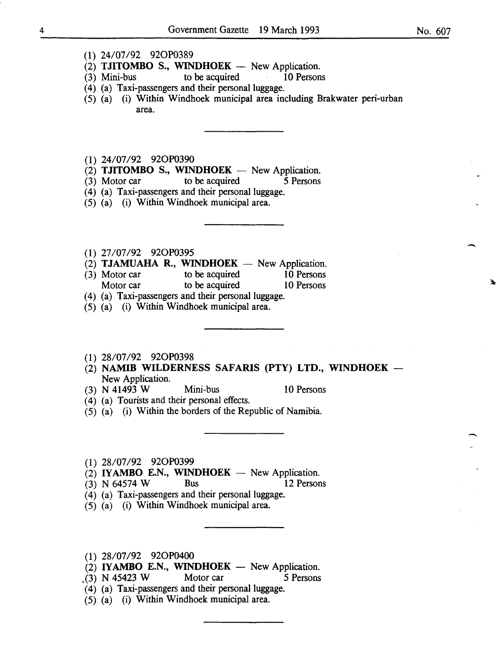-

-<br>-<br>-

- ( 1) 24/07/92 920P0389
- (2) **TJITOMBO S., WINDHOEK** New Application.<br>(3) Mini-bus to be acquired 10 Persons
- $(3)$  Mini-bus to be acquired
- (4) (a) Taxi-passengers and their personal luggage.
- (5) (a) (i) Within Windhoek municipal area including Brakwater peri-urban area.

(1) 24/07/92 920P0390

- (2) TJITOMBO S., WINDHOEK  $-$  New Application.
- (3) Motor car to be acquired 5 Persons

(4) (a) Taxi-passengers and their personal luggage.

- (5) (a) (i) Within Windhoek municipal area.
- ( 1) 27/07/92 920P0395
- (2) TJAMUAHA R., WINDHOEK  $-$  New Application.
- (3) Motor car to be acquired 10 Persons Motor car to be acquired 10 Persons
- (4) (a) Taxi-passengers and their personal luggage.
- (5) (a) (i) Within Windhoek municipal area.
- (1) 28/07/92 920P0398
- (2) NAMIB WILDERNESS SAFARIS (PTY) LTD., WINDHOEK-New Application.
- (3) N 41493 W Mini-bus 10 Persons
- ( 4) (a) Tourists and their personal effects.
- (5) (a) (i) Within the borders of the Republic of Namibia.

(1) 28/07/92 920P0399

- $(2)$  IYAMBO E.N., WINDHOEK New Application.
- (3) N 64574 W Bus 12 Persons
- ( 4) (a) Taxi-passengers and their personal luggage.
- (5) (a) (i) Within Windhoek municipal area.
- (1) 28/07/92 920P0400
- $(2)$  IYAMBO E.N., WINDHOEK New Application.
- $(3)$  N 45423 W Motor car 5 Persons
- (4) (a) Taxi-passengers and their personal luggage.
- (5) (a) (i) Within Windhoek municipal area.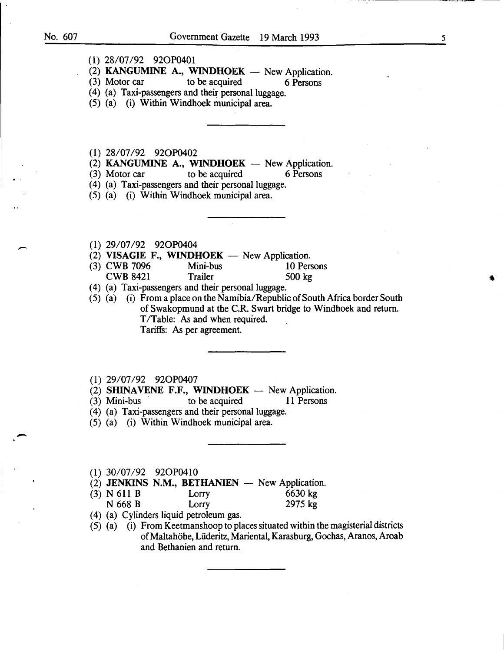$\overline{\phantom{a}}$ 

-

(1) 28/07/92 920P0401

(2) KANGUMINE A., WINDHOEK - New Application.<br>(3) Motor car to be acquired 6 Persons

to be acquired 6 Persons

(4) (a) Taxi-passengers and their personal luggage.

(5) (a) (i) Within Windhoek municipal area.

( 1) 28/07/92 920P0402

(2) KANGUMINE A., WINDHOEK - New Application.<br>(3) Motor car to be acquired 6 Persons

to be acquired 6 Persons

(4) (a) Taxi-passengers and their personal luggage.

(5) (a) (i) Within Windhoek municipal area.

(1) 29/07/92 920P0404

- (2) VISAGIE F., WINDHOEK  $-$  New Application.
- (3) CWB 7096 Mini-bus 10 Persons CWB 8421 Trailer 500 kg

(4) (a) Taxi-passengers and their personal luggage.

(5) (a) (i) From a place on the Namibia/Republic of South Africa border South of Swakopmund at the C.R. Swart bridge to Windhoek and return. T/Table: As and when required. Tariffs: As per agreement.

(1) 29/07/92 920P0407

(2) SHINAVENE F.F., WINDHOEK  $-$  New Application.

- (3) Mini-bus to be acquired 11 Persons
- (4) (a) Taxi-passengers and their personal luggage.
- (5) (a) (i) Within Windhoek municipal area.

(1) 30/07/92 920P0410

- $(2)$  JENKINS N.M., BETHANIEN  $-$  New Application.
- (3) N 611 B Lorry 6630 kg
- N 668 B Lorry 2975 kg
- (4) (a) Cylinders liquid petroleum gas.
- (5) (a) (i) From Keetmanshoop to places situated within the magisterial districts ofMaltahohe, Liideritz, Mariental, Karasburg, Gochas, Aranos, Aroab and Bethanien and return.

5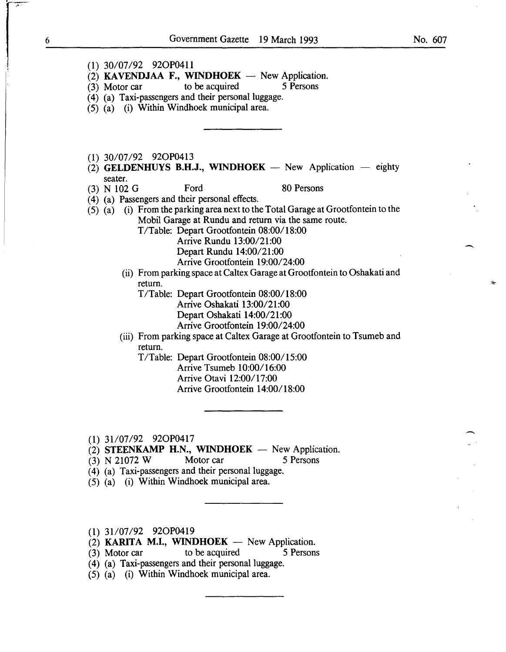$\overline{\phantom{a}}$ 

-

- **(1)** 30/07/92 920P0411
- (2) **KAVENDJAA F., WINDHOEK** New Application.<br>(3) Motor car to be acquired 5 Persons
- $(3)$  Motor car
- (4) (a) Taxi-passengers and their personal luggage.
- (5) (a) (i) Within Windhoek municipal area.
- (1) 30/07/92 920P0413
- $(2)$  **GELDENHUYS B.H.J., WINDHOEK** New Application eighty seater.
- (3) N 102 G Ford 80 Persons

( 4) (a) Passengers and their personal effects.

- (5) (a) (i) From the parking area next to the Total Garage at Grootfontein to the Mobil Garage at Rundu and return via the same route.
	- T /Table: Depart Grootfontein 08:00/18:00
		- Arrive Rundu 13:00/21:00 Depart Rundu 14:00/21:00

Arrive Grootfontein 19:00/24:00

(ii) From parking space at Caltex Garage at Grootfontein to Oshakati and return.

T/Table: Depart Grootfontein 08:00/18:00

- Arrive Oshakati 13:00/21:00
	- Depart Oshakati 14:00/21:00

Arrive Grootfontein 19:00/24:00

(iii) From parking space at Caltex Garage at Grootfontein to Tsumeb and return.

T/Table: Depart Grootfontein 08:00/15:00 Arrive Tsumeb 10:00/16:00 Arrive Otavi 12:00/17:00 Arrive Grootfontein 14:00/18:00

(1) 31107/92 920P0417

- $(2)$  **STEENKAMP H.N., WINDHOEK** New Application.
- (3) N 21072 W Motor car 5 Persons
- (4) (a) Taxi-passengers and their personal luggage.
- (5) (a) (i) Within Windhoek municipal area.
- (1) 31107/92 920P0419
- $(2)$  **KARITA M.I., WINDHOEK** New Application.
- (3) Motor car to be acquired 5 Persons
- ( 4) (a) Taxi-passengers and their personal luggage.
- (5) (a) (i) Within Windhoek municipal area.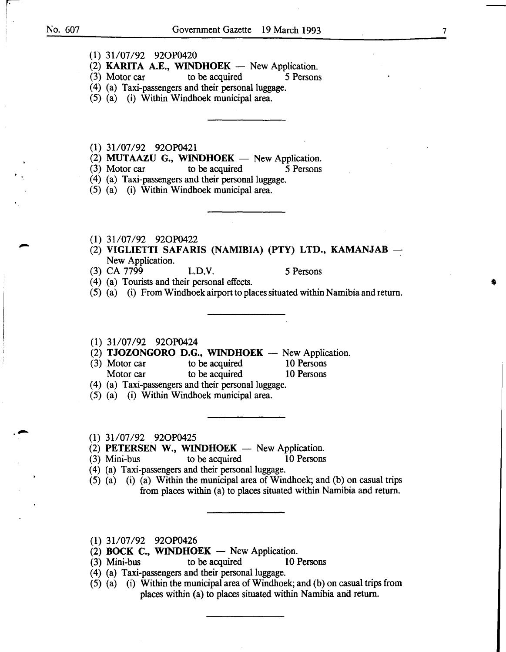$\mathbf{r}$ 

,,...

- (1) 31/07/92 920P0420
- (2) KARITA A.E., WINDHOEK  $-$  New Application.
- (3) Motor car to be acquired 5 Persons
- (4) (a) Taxi-passengers and their personal luggage.
- (5) (a) (i) Within Windhoek municipal area.
- (1) 31107/92 920P0421
- (2) **MUTAAZU G., WINDHOEK** New Application.<br>(3) Motor car to be acquired 5 Persons
- $(3)$  Motor car to be acquired
- (4) (a) Taxi-passengers and their personal luggage.
- (5) (a) (i) Within Windhoek municipal area.
- (1) 31/07/92 92OP0422
- (2) VIGLIETTI SAFARIS (NAMIBIA) (PTY) LTD., KAMANJAB -New Application.
- (3) CA 7799 L.D.V. 5 Persons
	-
- ( 4) (a) Tourists and their personal effects.
- (5) (a) (i) From Windhoek airport to places situated within Namibia and return.
- (1) 31/07/92 920P0424
- (2) TJOZONGORO D.G., WINDHOEK  $-$  New Application.
- (3) Motor car to be acquired 10 Persons Motor car to be acquired 10 Persons
- (4) (a) Taxi-passengers and their personal luggage.
- (5) (a) (i) Within Windhoek municipal area.
- (1) 31107/92 920P0425
- (2) PETERSEN W., WINDHOEK  $-$  New Application.
- (3) Mini-bus to be acquired 10 Persons
- (4) (a) Taxi-passengers and their personal luggage.
- (5) (a) (i) (a) Within the municipal area of Windhoek; and (b) on casual trips from places within (a) to places situated within Namibia and return.
- (1) 31/07/92 92OP0426
- (2) **BOCK C., WINDHOEK**  $-$  New Application.
- (3) Mini-bus to be acquired 10 Persons
- (4) (a) Taxi-passengers and their personal luggage.
- (5) (a) (i) Within the municipal area of Windhoek; and (b) on casual trips from places within (a) to places situated within Namibia and return.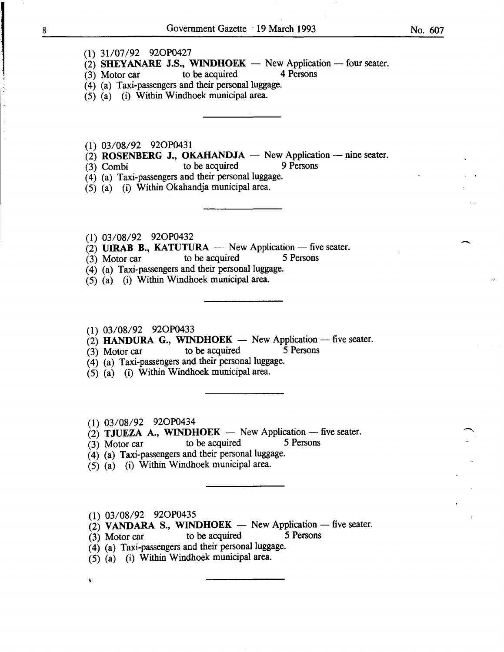(1) 31/07/92 920P0427

- (2) SHEYANARE J.S., WINDHOEK New Application -- four seater.<br>(3) Motor car to be acquired 4 Persons
- $(3)$  Motor car to be acquired
- (4) (a) Taxi-passengers and their personal luggage.
- $(5)$   $(a)$   $(i)$  Within Windhoek municipal area.
- (1) 03/08/92 920P0431
- (2) ROSENBERG J., OKAHANDJA  $-$  New Application  $-$  nine seater.<br>(3) Combi to be acquired 9 Persons
- $(3)$  Combi to be acquired
- (4) (a) Taxi-passengers and their personal luggage.
- (5) (a) (i) Within Okahandja municipal area.
- (1) 03/08/92 920P0432
- (2) UIRAB B., KATUTURA New Application five seater.<br>
(3) Motor car to be acquired 5 Persons
- 
- (4) (a) Taxi-passengers and their personal luggage.
- (5) (a) (i) Within Windhoek municipal area.
- (1) 03/08/92 920P0433
- $\tilde{C}(2)$  HANDURA G., WINDHOEK New Application five seater.
- $(3)$  Motor car to be acquired 5 Persons
- (4) (a) Taxi-passengers and their personal luggage.
- (5) (a) (i) Within Windhoek municipal area.
- (1) 03/08/92 920P0434
- (2) TJUEZA A., WINDHOEK New Application five seater.<br>(3) Motor car to be acquired 5 Persons
- $(3)$  Motor car to be acquired
- (4) (a) Taxi-passengers and their personal luggage.
- $(5)$   $(a)$  (i) Within Windhoek municipal area.
- (1) 03/08/92 920P0435

V

- $(2)$  VANDARA S., WINDHOEK New Application five seater.
- $(3)$  Motor car to be acquired 5 Persons
- (4) (a) Taxi-passengers and their personal luggage.
- (5) (a) (i) Within Windhoek municipal area.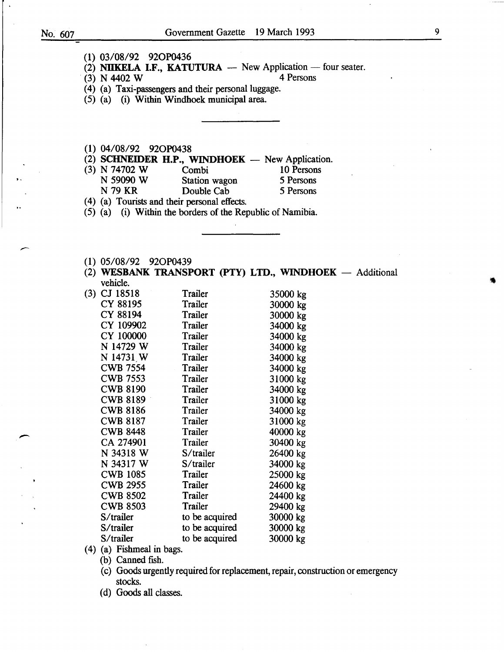. -

-

|  | (1) 03/08/92 92OP0436 |  |
|--|-----------------------|--|
|  |                       |  |

(2) **NIIKELA I.F., KATUTURA** — New Application — four seater.<br>(3)  $N$  4402 W 4 Persons

 $(3)$  N 4402 W

( 4) (a) Taxi-passengers and their personal luggage.

(5) (a) (i) Within Windhoek municipal area.

(1) 04/08/92 920P0438

 $(2)$  **SCHNEIDER H.P., WINDHOEK** - New Application.

- (3) N 74702 W Combi 10 Persons<br>
N 59090 W Station wagon 5 Persons
	- N 59090 W Station wagon 5 Persons<br>N 79 KR Double Cab 5 Persons Double Cab
- (4) (a) Tourists and their personal effects.
- $(5)$  (a) (i) Within the borders of the Republic of Namibia.
- (1) 05/08/92 920P0439
- (2) **WESBANK TRANSPORT (PTY) LTD., WINDHOEK** Additional vehicle.

| (3) | CJ 18518                     | Trailer        | 35000 kg |
|-----|------------------------------|----------------|----------|
|     | CY 88195                     | Trailer        | 30000 kg |
|     | CY 88194                     | Trailer        | 30000 kg |
|     | CY 109902                    | Trailer        | 34000 kg |
|     | CY 100000                    | Trailer        | 34000 kg |
|     | N 14729 W                    | Trailer        | 34000 kg |
|     | N 14731 W                    | Trailer        | 34000 kg |
|     | <b>CWB 7554</b>              | Trailer        | 34000 kg |
|     | <b>CWB 7553</b>              | Trailer        | 31000 kg |
|     | <b>CWB 8190</b>              | Trailer        | 34000 kg |
|     | <b>CWB 8189</b>              | Trailer        | 31000 kg |
|     | <b>CWB 8186</b>              | Trailer        | 34000 kg |
|     | <b>CWB 8187</b>              | Trailer        | 31000 kg |
|     | <b>CWB 8448</b>              | Trailer        | 40000 kg |
|     | CA 274901                    | Trailer        | 30400 kg |
|     | N 34318 W                    | S/trailer      | 26400 kg |
|     | N 34317 W                    | S/trailer      | 34000 kg |
|     | <b>CWB 1085</b>              | Trailer        | 25000 kg |
|     | <b>CWB 2955</b>              | Trailer        | 24600 kg |
|     | <b>CWB 8502</b>              | Trailer        | 24400 kg |
|     | <b>CWB 8503</b>              | Trailer        | 29400 kg |
|     | S/trailer                    | to be acquired | 30000 kg |
|     | S/trailer                    | to be acquired | 30000 kg |
|     | S/trailer                    | to be acquired | 30000 kg |
|     | $(A)$ $(A)$ Eichmael in home |                |          |

(4) (a) Fishmeal in bags.

(b) Canned fish.

- (c) Goods urgently required for replacement, repair, construction or emergency stocks.
- (d) Goods all classes.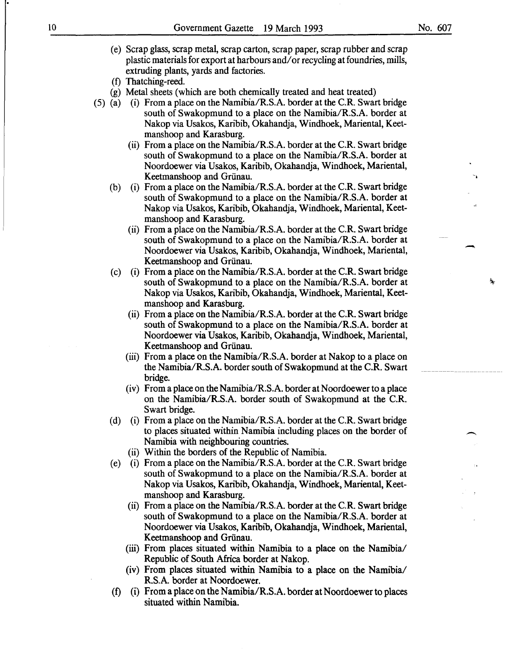No. 607

-

多

- (e) Scrap glass, scrap metal, scrap carton, scrap paper, scrap rubber and scrap plastic materials for export at harbours and/ or recycling at foundries, mills, extruding plants, yards and factories.
- (f) Thatching-reed.
- (g) Metal sheets (which are both chemically treated and heat treated)
- (5) (a) (i) From a place on the Namibia/R.S.A. border at the C.R. Swart bridge south of Swakopmund to a place on the Namibia/R.S.A. border at Nakop via Usakos, Karibib, Okahandja, Windhoek, Mariental, Keetmanshoop and Karasburg.
	- (ii) From a place on the Namibia/R.S.A. border at the C.R. Swart bridge south of Swakopmund to a place on the Namibia/R.S.A. border at Noordoewer via Usakos, Karibib, Okahandja, Windhoek, Mariental, Keetmanshoop and Griinau.
	- (b) (i) From a place on the Namibia/R.S.A. border at the C.R. Swart bridge south of Swakopmund to a place on the Namibia/R.S.A. border at Nakop via Usakos, Karibib, Okahandja, Windhoek, Mariental, Keetmanshoop and Karasburg.
		- (ii) From a place on the Namibia/R.S.A. border at the C.R. Swart bridge south of Swakopmund to a place on the Namibia/R.S.A. border at Noordoewer via Usakos, Karibib, Okahandja, Windhoek, Mariental, Keetmanshoop and Griinau.
	- (c) (i) From a place on the Namibia/R.S.A. border at the C.R. Swart bridge south of Swakopmund to a place on the Namibia/R.S.A. border at Nakop via Usakos, Karibib, Okahandja, Windhoek, Mariental, Keetmanshoop and Karasburg.
		- (ii) From a place on the Namibia/R.S.A. border at the C.R. Swart bridge south of Swakopmund to a place on the Namibia/R.S.A. border at Noordoewer via Usakos, Karibib, Okahandja, Windhoek, Mariental, Keetmanshoop and Griinau.
		- (iii) From a place on the Namibia/R.S.A. border at Nakop to a place on the Namibia/R.S.A. border south of Swakopmund at the C.R. Swart bridge.
		- (iv) From a place on the Namibia/R.S.A. border at Noordoewer to a place on the Namibia/R.S.A. border south of Swakopmund at the C.R. Swart bridge.
	- (d) (i) From a place on the Namibia/R.S.A. border at the C.R. Swart bridge to places situated within Namibia including places on the border of Namibia with neighbouring countries.
		- (ii) Within the borders of the Republic of Namibia.
	- (e) (i) From a place on the Namibia/R.S.A. border at the C.R. Swart bridge south of Swakopmund to a place on the Namibia/R.S.A. border at Nakop via Usakos, Karibib, Okahandja, Windhoek, Mariental, Keetmanshoop and Karasburg.
		- (ii) From a place on the Namibia/R.S.A. border at the C.R. Swart bridge south of Swakopmund to a place on the Namibia/R.S.A. border at Noordoewer via Usakos, Karibib, Okahandja, Windhoek, Mariental, Keetmanshoop and Griinau.
		- (iii) From places situated within Namibia to a place on the Namibia/ Republic of South Africa border at Nakop.
		- (iv) From places situated within Namibia to a place on the Namibia/ R.S.A. border at Noordoewer.
	- (f) (i) From a place on the Namibia/R.S.A. border at Noordoewer to places situated within Namibia.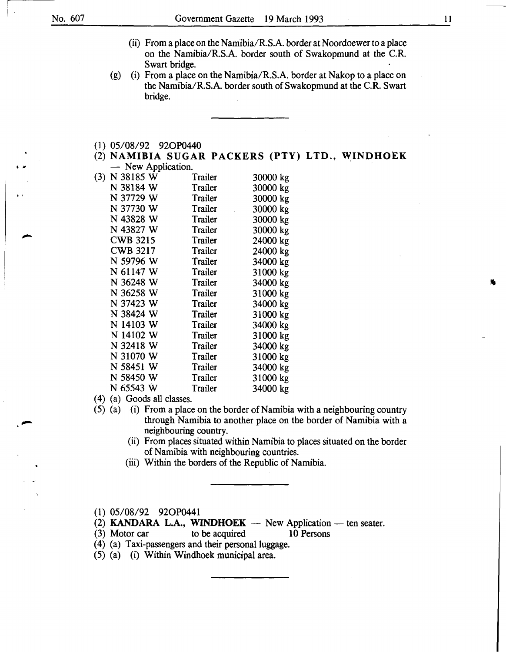I */It* 

- (ii) From a place on the Namibia/R.S.A. border at Noordoewer to a place on the Namibia/R.S.A. border south of Swakopmund at the C.R. Swart bridge.
- (g) (i) From a place on the Namibia/R.S.A. border at Nakop to a place on the Namibia/R.S.A. border south of Swakopmund at the C.R. Swart bridge.
- (1) 05/08/92 920P0440
- (2) NAMIBIA SUGAR PACKERS (PTY) LTD., WINDHOEK - New Application

|     | $150W$ <i>Typhoditon.</i> |         |          |
|-----|---------------------------|---------|----------|
| (3) | N 38185 W                 | Trailer | 30000 kg |
|     | N 38184 W                 | Trailer | 30000 kg |
|     | N 37729 W                 | Trailer | 30000 kg |
|     | N 37730 W                 | Trailer | 30000 kg |
|     | N 43828 W                 | Trailer | 30000 kg |
|     | N 43827 W                 | Trailer | 30000 kg |
|     | <b>CWB 3215</b>           | Trailer | 24000 kg |
|     | <b>CWB 3217</b>           | Trailer | 24000 kg |
|     | N 59796 W                 | Trailer | 34000 kg |
|     | N 61147 W                 | Trailer | 31000 kg |
|     | N 36248 W                 | Trailer | 34000 kg |
|     | N 36258 W                 | Trailer | 31000 kg |
|     | N 37423 W                 | Trailer | 34000 kg |
|     | N 38424 W                 | Trailer | 31000 kg |
|     | N 14103 W                 | Trailer | 34000 kg |
|     | N 14102 W                 | Trailer | 31000 kg |
|     | N 32418 W                 | Trailer | 34000 kg |
|     | N 31070 W                 | Trailer | 31000 kg |
|     | N 58451 W                 | Trailer | 34000 kg |
|     | N 58450 W                 | Trailer | 31000 kg |
|     | N 65543 W                 | Trailer | 34000 kg |
|     |                           |         |          |

( 4) (a) Goods all classes.

- (5) (a) (i) From a place on the border of Namibia with a neighbouring country through Namibia to another place on the border of Namibia with a neighbouring country.
	- (ii) From places situated within Namibia to places situated on the border of Namibia with neighbouring countries.
	- (iii) Within the borders of the Republic of Namibia.

(1) 05/08/92 920P0441

- (2) KANDARA L.A., WINDHOEK  $-$  New Application  $-$  ten seater.
- (3) Motor car to be acquired 10 Persons

(4) (a) Taxi-passengers and their personal luggage.

(5) (a) (i) Within Windhoek municipal area.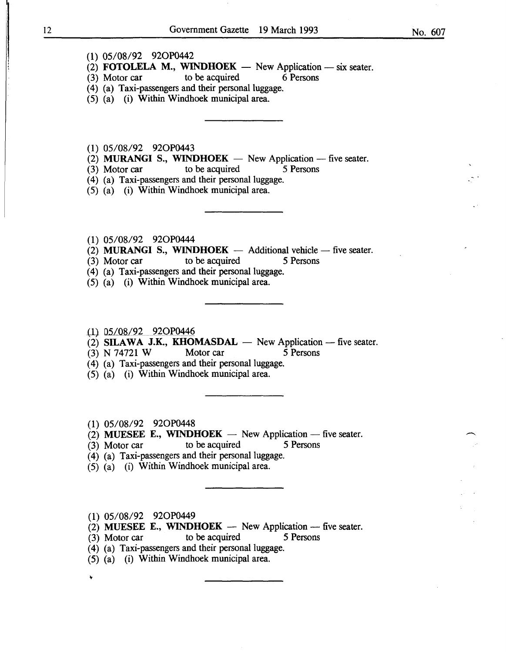(1) 05/08/92 920P0442

 $(3)$  Motor car

(2) **FOTOLELA M., WINDHOEK** - New Application - six seater.<br>(3) Motor car to be acquired 6 Persons

- (4) (a) Taxi-passengers and their personal luggage.
- (5) (a) (i) Within Windhoek municipal area.
- (1) 05/08/92 920P0443
- (2) MURANGI S., WINDHOEK  $-$  New Application  $-$  five seater.
- (3) Motor car to be acquired 5 Persons
- (4) (a) Taxi-passengers and their personal luggage.
- (5) (a) (i) Within Windhoek municipal area.
- (1) 05/08/92 920P0444
- (2) MURANGI S., WINDHOEK  $-$  Additional vehicle  $-$  five seater.
- (3) Motor car to be acquired 5 Persons
- (4) (a) Taxi-passengers and their personal luggage.
- (5) (a) (i) Within Windhoek municipal area.
- {1) 05/08/92 920P0446
- $(2)$  SILAWA J.K., KHOMASDAL New Application five seater.
- (3) N 74721 W Motor car 5 Persons
- ( 4) (a) Taxi-passengers and their personal luggage.
- (5) (a) (i) Within Windhoek municipal area.
- (1) 05/08/92 920P0448
- (2) MUESEE E., WINDHOEK  $-$  New Application  $-$  five seater.
- (3) Motor car to be acquired 5 Persons
- (4) (a) Taxi-passengers and their personal luggage.
- (5) (a) (i) Within Windhoek municipal area.
- (1) 05/08/92 920P0449

 $\ddot{\phantom{0}}$ 

- (2) MUESEE E., WINDHOEK  $-$  New Application  $-$  five seater.
- (3) Motor car to be acquired 5 Persons
- (4) (a) Taxi-passengers and their personal luggage.
- (5) (a) (i) Within Windhoek municipal area.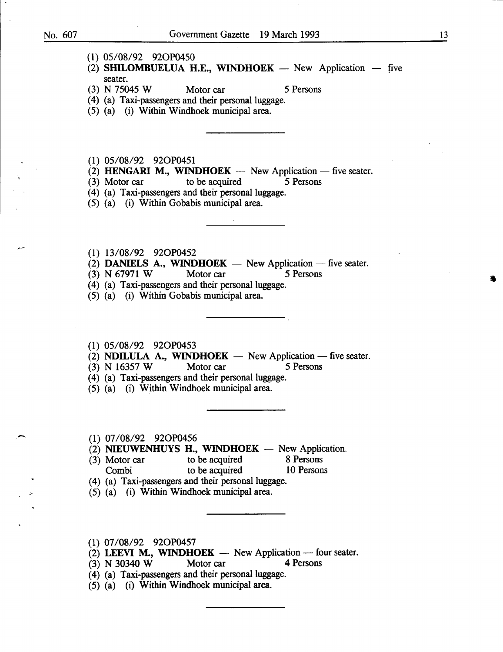سع

- (1) 05/08/92 920P0450
- (2) SHILOMBUELUA H.E., WINDHOEK  $-$  New Application  $-$  five seater.
- (3) N 75045 W Motor car 5 Persons

- (4) (a) Taxi-passengers and their personal luggage.
- (5) (a) (i) Within Windhoek municipal area.

(1) 05/08/92 920P0451

- (2) HENGARI M., WINDHOEK  $-$  New Application  $-$  five seater.
- (3) Motor car to be acquired 5 Persons

(4) (a) Taxi-passengers and their personal luggage.

- (5) (a) (i) Within Gobabis municipal area.
- (1) 13/08/92 920P0452
- (2) DANIELS A., WINDHOEK  $-$  New Application  $-$  five seater.
- (3) N 67971 W Motor car 5 Persons
- (4) (a) Taxi-passengers and their personal luggage.
- (5) (a) (i) Within Gobabis municipal area.
- (1) 05/08/92 920P0453
- (2) NDILULA A., WINDHOEK New Application five seater.<br>
(3) N 16357 W Motor car 5 Persons
- $(3)$  N 16357 W
- (4) (a) Taxi-passengers and their personal luggage.
- (5) (a) (i) Within Windhoek municipal area.

.-- (1) 07/08/92 920P0456

- (2) NIEUWENHUYS H., WINDHOEK  $-$  New Application.<br>(3) Motor car to be acquired 8 Persons
- $(3)$  Motor car to be acquired Combi to be acquired 10 Persons
- (4) (a) Taxi-passengers and their personal luggage.
- (5) (a) (i) Within Windhoek municipal area.
- (1) 07/08/92 920P0457
- (2) LEEVI M., WINDHOEK  $-$  New Application  $-$  four seater.
- (3) N 30340 W Motor car 4 Persons
- (4) (a) Taxi-passengers and their personal luggage.
- $(5)$   $(a)$   $(i)$  Within Windhoek municipal area.